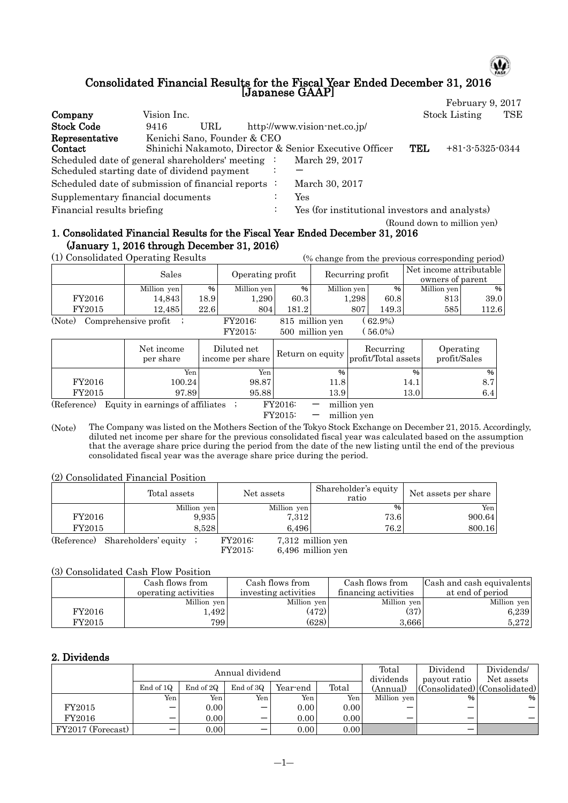# Consolidated Financial Results for the Fiscal Year Ended December 31, 2016 [Japanese GAAP]

ω

|                                   |                                                                                                |           |                                                |            | February 9, 2017            |            |
|-----------------------------------|------------------------------------------------------------------------------------------------|-----------|------------------------------------------------|------------|-----------------------------|------------|
| Company                           | Vision Inc.                                                                                    |           |                                                |            | <b>Stock Listing</b>        | <b>TSE</b> |
| <b>Stock Code</b>                 | URL<br>9416                                                                                    |           | http://www.vision-net.co.jp/                   |            |                             |            |
| Representative<br>Contact         | Kenichi Sano, Founder & CEO<br>Shinichi Nakamoto, Director & Senior Executive Officer          |           |                                                | <b>TEL</b> | $+81-3-5325-0344$           |            |
|                                   | Scheduled date of general shareholders' meeting<br>Scheduled starting date of dividend payment |           | March 29, 2017                                 |            |                             |            |
|                                   | Scheduled date of submission of financial reports :                                            |           | March 30, 2017                                 |            |                             |            |
| Supplementary financial documents |                                                                                                | $\cdot$   | Yes                                            |            |                             |            |
| Financial results briefing        |                                                                                                | $\bullet$ | Yes (for institutional investors and analysts) |            |                             |            |
|                                   |                                                                                                |           |                                                |            | (Round down to million yen) |            |

#### 1. Consolidated Financial Results for the Fiscal Year Ended December 31, 2016 (January 1, 2016 through December 31, 2016) (1) Consolidated Operating Results (% change from the previous corresponding period)

|                                  | (1) Consondated Operating Results |                  |                                    |       |                          |                  |                                  |                                             | (% change from the previous corresponding period) |       |
|----------------------------------|-----------------------------------|------------------|------------------------------------|-------|--------------------------|------------------|----------------------------------|---------------------------------------------|---------------------------------------------------|-------|
|                                  | Sales                             | Operating profit |                                    |       |                          | Recurring profit |                                  | Net income attributable<br>owners of parent |                                                   |       |
|                                  | Million yen                       | %                | Million yen                        | $\%$  | Million yen              |                  | $\%$                             |                                             | Million yen                                       | $\%$  |
| FY2016                           | 14,843                            | 18.9             | 1,290                              | 60.3  |                          | 1,298            | 60.8                             |                                             | 813                                               | 39.0  |
| FY2015                           | 12,485                            | 22.6             | 804                                | 181.2 |                          | 807              | 149.3                            |                                             | 585                                               | 112.6 |
| Comprehensive profit ;<br>(Note) | FY2016:<br>FY2015:                |                  | 815 million yen<br>500 million yen |       | $(62.9\%)$<br>$(56.0\%)$ |                  |                                  |                                             |                                                   |       |
|                                  | Net income<br>per share           |                  | Diluted net<br>income per share    |       | Return on equity         |                  | Recurring<br>profit/Total assets |                                             | Operating<br>profit/Sales                         |       |
|                                  | Yen                               |                  | Yen                                |       | $\%$                     |                  |                                  | $\%$                                        |                                                   | %     |
| FY2016                           | 100.24                            |                  | 98.87                              |       | 11.8                     |                  |                                  | 14.1                                        |                                                   | 8.7   |
| FY2015                           | 97.89                             |                  | 95.88                              |       | 13.9                     |                  |                                  | 13.0                                        |                                                   | 6.4   |

(Reference) Equity in earnings of affiliates  $\frac{FY2016}{FY2015}$  - million yen

- million yen

(Note) The Company was listed on the Mothers Section of the Tokyo Stock Exchange on December 21, 2015. Accordingly, diluted net income per share for the previous consolidated fiscal year was calculated based on the assumption that the average share price during the period from the date of the new listing until the end of the previous consolidated fiscal year was the average share price during the period.

(2) Consolidated Financial Position

|                                    | Total assets | Net assets  | Shareholder's equity<br>ratio | Net assets per share |
|------------------------------------|--------------|-------------|-------------------------------|----------------------|
|                                    | Million yen  | Million yen | $\%$                          | Yen                  |
| FY2016                             | 9,935        | 7.312       | 73.6                          | 900.64               |
| FY2015                             | 8.528        | 6.496       | 76.2                          | 800.16               |
| $(Reference)$ Shareholders' equity |              | FY2016:     | 7.312 million ven             |                      |

(reholders' equity ; FY2016: 7,312 million yen<br>FY2015: 6,496 million yen 6,496 million yen

#### (3) Consolidated Cash Flow Position

|        | Cash flows from      | Cash flows from      | Cash flows from      | Cash and cash equivalents |
|--------|----------------------|----------------------|----------------------|---------------------------|
|        | operating activities | investing activities | financing activities | at end of period          |
|        | Million yen          | Million yen          | Million yen          | Million yen               |
| FY2016 | .492                 | (472)                | (37)                 | 6,239                     |
| FY2015 | 799                  | (628)                | 3,666                | 5.272                     |

## 2. Dividends

|                   |                                      |           | Annual dividend |                   |       | Total       | Dividend     | Dividends/                                |
|-------------------|--------------------------------------|-----------|-----------------|-------------------|-------|-------------|--------------|-------------------------------------------|
|                   |                                      |           |                 |                   |       | dividends   | payout ratio | Net assets                                |
|                   | End of 1Q                            | End of 2Q | End of 3Q       | Year-end          | Total | (Annual)    |              | $ $ (Consolidated) $ $ (Consolidated) $ $ |
|                   | Yen <sub>1</sub>                     | Yen i     | Yen.            | Yen.              | Yen   | Million yen | %            | %                                         |
| FY2015            | $\overline{\phantom{m}}$             | 0.00      | –               | 0.00 <sub>l</sub> | 0.00  |             | –            |                                           |
| FY2016            |                                      | 0.00      | –               | 0.00              | 0.00  |             | –            |                                           |
| FY2017 (Forecast) | $\qquad \qquad \  \, -\qquad \qquad$ | 0.00      | –               | 0.00              | 0.00  |             |              |                                           |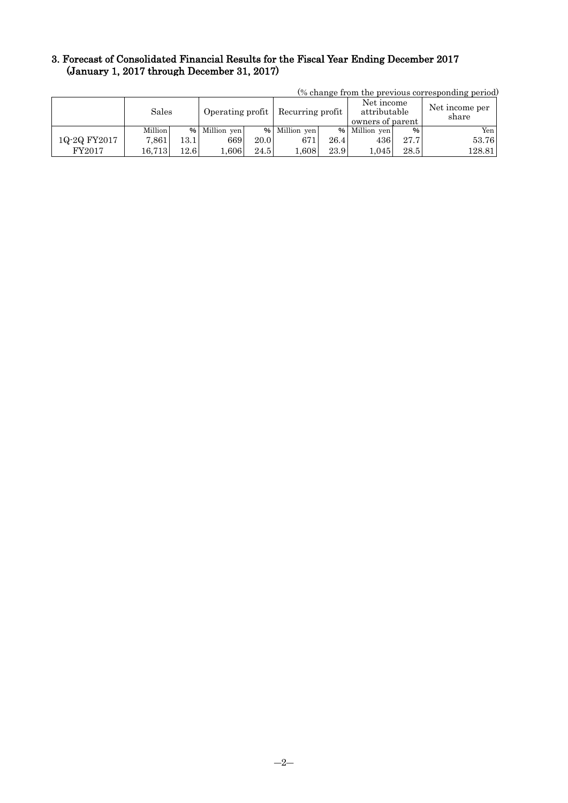## 3. Forecast of Consolidated Financial Results for the Fiscal Year Ending December 2017 (January 1, 2017 through December 31, 2017)

| (70 change from the previous corresponding period) |         |      |                  |      |                  |      |                                                |      |                         |  |
|----------------------------------------------------|---------|------|------------------|------|------------------|------|------------------------------------------------|------|-------------------------|--|
|                                                    | Sales   |      | Operating profit |      | Recurring profit |      | Net income<br>attributable<br>owners of parent |      | Net income per<br>share |  |
|                                                    | Million |      | % Million yen    |      | % Million yen    |      | % Million yen                                  | %    | Yen                     |  |
| 1Q-2Q FY2017                                       | 7.861   | 13.1 | 669              | 20.0 | 671              | 26.4 | 436                                            | 27.7 | 53.76                   |  |
| FY2017                                             | 16.713  | 12.6 | 0.606            | 24.5 | $1.608\,$        | 23.9 | 1.045                                          | 28.5 | 128.81                  |  |

(% change from the previous corresponding period)